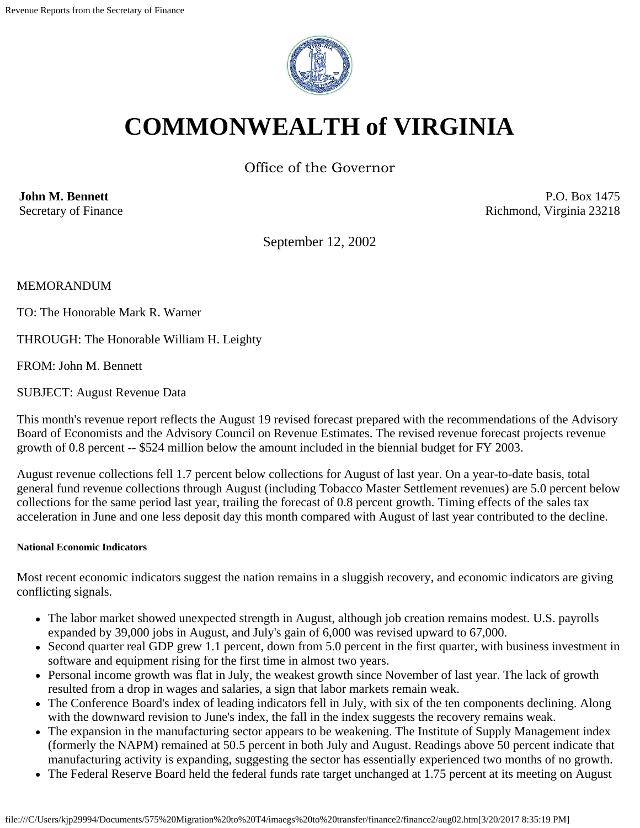

# **COMMONWEALTH of VIRGINIA**

Office of the Governor

**John M. Bennett** Secretary of Finance

P.O. Box 1475 Richmond, Virginia 23218

September 12, 2002

MEMORANDUM

TO: The Honorable Mark R. Warner

THROUGH: The Honorable William H. Leighty

FROM: John M. Bennett

SUBJECT: August Revenue Data

This month's revenue report reflects the August 19 revised forecast prepared with the recommendations of the Advisory Board of Economists and the Advisory Council on Revenue Estimates. The revised revenue forecast projects revenue growth of 0.8 percent -- \$524 million below the amount included in the biennial budget for FY 2003.

August revenue collections fell 1.7 percent below collections for August of last year. On a year-to-date basis, total general fund revenue collections through August (including Tobacco Master Settlement revenues) are 5.0 percent below collections for the same period last year, trailing the forecast of 0.8 percent growth. Timing effects of the sales tax acceleration in June and one less deposit day this month compared with August of last year contributed to the decline.

## **National Economic Indicators**

Most recent economic indicators suggest the nation remains in a sluggish recovery, and economic indicators are giving conflicting signals.

- The labor market showed unexpected strength in August, although job creation remains modest. U.S. payrolls expanded by 39,000 jobs in August, and July's gain of 6,000 was revised upward to 67,000.
- Second quarter real GDP grew 1.1 percent, down from 5.0 percent in the first quarter, with business investment in software and equipment rising for the first time in almost two years.
- Personal income growth was flat in July, the weakest growth since November of last year. The lack of growth resulted from a drop in wages and salaries, a sign that labor markets remain weak.
- The Conference Board's index of leading indicators fell in July, with six of the ten components declining. Along with the downward revision to June's index, the fall in the index suggests the recovery remains weak.
- The expansion in the manufacturing sector appears to be weakening. The Institute of Supply Management index (formerly the NAPM) remained at 50.5 percent in both July and August. Readings above 50 percent indicate that manufacturing activity is expanding, suggesting the sector has essentially experienced two months of no growth.
- The Federal Reserve Board held the federal funds rate target unchanged at 1.75 percent at its meeting on August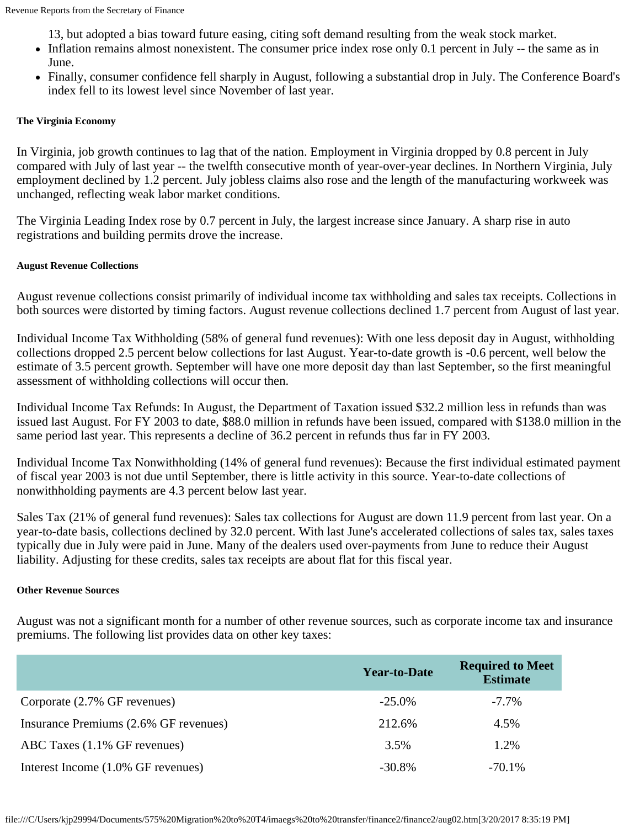13, but adopted a bias toward future easing, citing soft demand resulting from the weak stock market.

- Inflation remains almost nonexistent. The consumer price index rose only 0.1 percent in July -- the same as in June.
- Finally, consumer confidence fell sharply in August, following a substantial drop in July. The Conference Board's index fell to its lowest level since November of last year.

## **The Virginia Economy**

In Virginia, job growth continues to lag that of the nation. Employment in Virginia dropped by 0.8 percent in July compared with July of last year -- the twelfth consecutive month of year-over-year declines. In Northern Virginia, July employment declined by 1.2 percent. July jobless claims also rose and the length of the manufacturing workweek was unchanged, reflecting weak labor market conditions.

The Virginia Leading Index rose by 0.7 percent in July, the largest increase since January. A sharp rise in auto registrations and building permits drove the increase.

## **August Revenue Collections**

August revenue collections consist primarily of individual income tax withholding and sales tax receipts. Collections in both sources were distorted by timing factors. August revenue collections declined 1.7 percent from August of last year.

Individual Income Tax Withholding (58% of general fund revenues): With one less deposit day in August, withholding collections dropped 2.5 percent below collections for last August. Year-to-date growth is -0.6 percent, well below the estimate of 3.5 percent growth. September will have one more deposit day than last September, so the first meaningful assessment of withholding collections will occur then.

Individual Income Tax Refunds: In August, the Department of Taxation issued \$32.2 million less in refunds than was issued last August. For FY 2003 to date, \$88.0 million in refunds have been issued, compared with \$138.0 million in the same period last year. This represents a decline of 36.2 percent in refunds thus far in FY 2003.

Individual Income Tax Nonwithholding (14% of general fund revenues): Because the first individual estimated payment of fiscal year 2003 is not due until September, there is little activity in this source. Year-to-date collections of nonwithholding payments are 4.3 percent below last year.

Sales Tax (21% of general fund revenues): Sales tax collections for August are down 11.9 percent from last year. On a year-to-date basis, collections declined by 32.0 percent. With last June's accelerated collections of sales tax, sales taxes typically due in July were paid in June. Many of the dealers used over-payments from June to reduce their August liability. Adjusting for these credits, sales tax receipts are about flat for this fiscal year.

#### **Other Revenue Sources**

August was not a significant month for a number of other revenue sources, such as corporate income tax and insurance premiums. The following list provides data on other key taxes:

|                                         | <b>Year-to-Date</b> | <b>Required to Meet</b><br><b>Estimate</b> |
|-----------------------------------------|---------------------|--------------------------------------------|
| Corporate (2.7% GF revenues)            | $-25.0\%$           | $-7.7\%$                                   |
| Insurance Premiums (2.6% GF revenues)   | 212.6%              | 4.5%                                       |
| ABC Taxes $(1.1\% \text{ GF}$ revenues) | 3.5%                | 1.2%                                       |
| Interest Income (1.0% GF revenues)      | $-30.8\%$           | $-70.1\%$                                  |